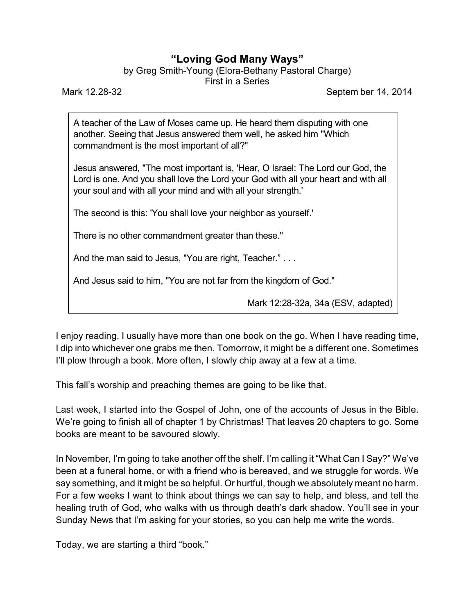## **"Loving God Many Ways"**

by Greg Smith-Young (Elora-Bethany Pastoral Charge)

First in a Series

Mark 12.28-32 Septem ber 14, 2014

A teacher of the Law of Moses came up. He heard them disputing with one another. Seeing that Jesus answered them well, he asked him "Which commandment is the most important of all?"

Jesus answered, "The most important is, 'Hear, O Israel: The Lord our God, the Lord is one. And you shall love the Lord your God with all your heart and with all your soul and with all your mind and with all your strength.'

The second is this: 'You shall love your neighbor as yourself.'

There is no other commandment greater than these."

And the man said to Jesus, "You are right, Teacher." . . .

And Jesus said to him, "You are not far from the kingdom of God."

Mark 12:28-32a, 34a (ESV, adapted)

I enjoy reading. I usually have more than one book on the go. When I have reading time, I dip into whichever one grabs me then. Tomorrow, it might be a different one. Sometimes I'll plow through a book. More often, I slowly chip away at a few at a time.

This fall's worship and preaching themes are going to be like that.

Last week, I started into the Gospel of John, one of the accounts of Jesus in the Bible. We're going to finish all of chapter 1 by Christmas! That leaves 20 chapters to go. Some books are meant to be savoured slowly.

In November, I'm going to take another off the shelf. I'm calling it "What Can I Say?" We've been at a funeral home, or with a friend who is bereaved, and we struggle for words. We say something, and it might be so helpful. Or hurtful, though we absolutely meant no harm. For a few weeks I want to think about things we can say to help, and bless, and tell the healing truth of God, who walks with us through death's dark shadow. You'll see in your Sunday News that I'm asking for your stories, so you can help me write the words.

Today, we are starting a third "book."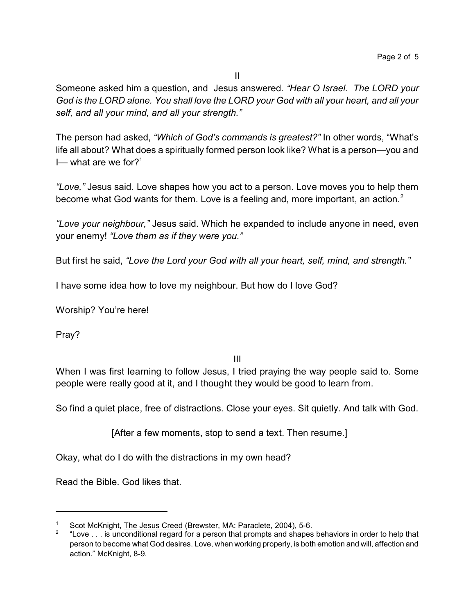Someone asked him a question, and Jesus answered. *"Hear O Israel. The LORD your God is the LORD alone. You shall love the LORD your God with all your heart, and all your self, and all your mind, and all your strength."*

The person had asked, *"Which of God's commands is greatest?"* In other words, "What's life all about? What does a spiritually formed person look like? What is a person—you and I— what are we for?<sup>1</sup>

*"Love,"* Jesus said. Love shapes how you act to a person. Love moves you to help them become what God wants for them. Love is a feeling and, more important, an action.<sup>2</sup>

*"Love your neighbour,"* Jesus said. Which he expanded to include anyone in need, even your enemy! *"Love them as if they were you."*

But first he said, *"Love the Lord your God with all your heart, self, mind, and strength."*

I have some idea how to love my neighbour. But how do I love God?

Worship? You're here!

Pray?

III

When I was first learning to follow Jesus, I tried praying the way people said to. Some people were really good at it, and I thought they would be good to learn from.

So find a quiet place, free of distractions. Close your eyes. Sit quietly. And talk with God.

[After a few moments, stop to send a text. Then resume.]

Okay, what do I do with the distractions in my own head?

Read the Bible. God likes that.

<sup>1</sup> Scot McKnight, The Jesus Creed (Brewster, MA: Paraclete, 2004), 5-6.

<sup>2</sup> "Love . . . is unconditional regard for a person that prompts and shapes behaviors in order to help that person to become what God desires. Love, when working properly, is both emotion and will, affection and action." McKnight, 8-9.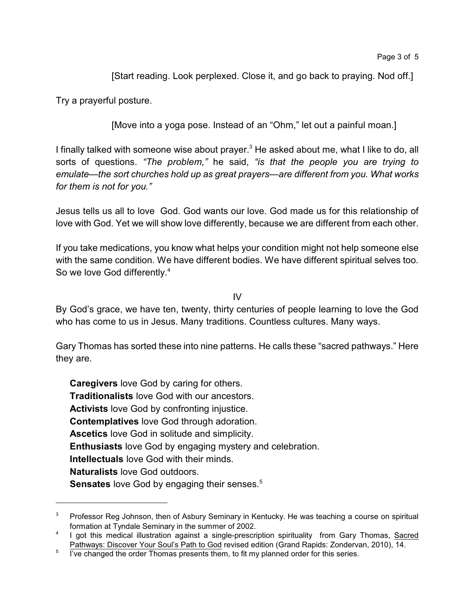[Start reading. Look perplexed. Close it, and go back to praying. Nod off.]

Try a prayerful posture.

[Move into a yoga pose. Instead of an "Ohm," let out a painful moan.]

I finally talked with someone wise about prayer.<sup>3</sup> He asked about me, what I like to do, all sorts of questions. *"The problem,"* he said, *"is that the people you are trying to emulate—the sort churches hold up as great prayers—are different from you. What works for them is not for you."*

Jesus tells us all to love God. God wants our love. God made us for this relationship of love with God. Yet we will show love differently, because we are different from each other.

If you take medications, you know what helps your condition might not help someone else with the same condition. We have different bodies. We have different spiritual selves too. So we love God differently.<sup>4</sup>

IV

By God's grace, we have ten, twenty, thirty centuries of people learning to love the God who has come to us in Jesus. Many traditions. Countless cultures. Many ways.

Gary Thomas has sorted these into nine patterns. He calls these "sacred pathways." Here they are.

**Caregivers** love God by caring for others. **Traditionalists** love God with our ancestors. **Activists** love God by confronting injustice. **Contemplatives** love God through adoration. **Ascetics** love God in solitude and simplicity. **Enthusiasts** love God by engaging mystery and celebration. **Intellectuals** love God with their minds. **Naturalists** love God outdoors. **Sensates** love God by engaging their senses.<sup>5</sup>

 $3$  Professor Reg Johnson, then of Asbury Seminary in Kentucky. He was teaching a course on spiritual formation at Tyndale Seminary in the summer of 2002.

<sup>&</sup>lt;sup>4</sup> I got this medical illustration against a single-prescription spirituality from Gary Thomas, Sacred Pathways: Discover Your Soul's Path to God revised edition (Grand Rapids: Zondervan, 2010), 14.

 $5$  l've changed the order Thomas presents them, to fit my planned order for this series.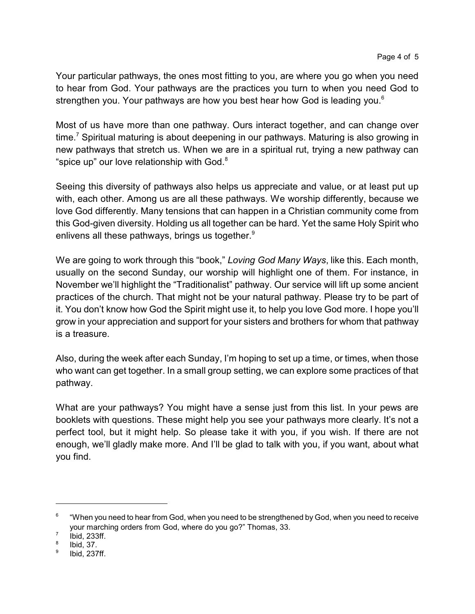Your particular pathways, the ones most fitting to you, are where you go when you need to hear from God. Your pathways are the practices you turn to when you need God to strengthen you. Your pathways are how you best hear how God is leading you.<sup>6</sup>

Most of us have more than one pathway. Ours interact together, and can change over time.<sup>7</sup> Spiritual maturing is about deepening in our pathways. Maturing is also growing in new pathways that stretch us. When we are in a spiritual rut, trying a new pathway can "spice up" our love relationship with God. $8$ 

Seeing this diversity of pathways also helps us appreciate and value, or at least put up with, each other. Among us are all these pathways. We worship differently, because we love God differently. Many tensions that can happen in a Christian community come from this God-given diversity. Holding us all together can be hard. Yet the same Holy Spirit who enlivens all these pathways, brings us together.<sup>9</sup>

We are going to work through this "book," *Loving God Many Ways*, like this. Each month, usually on the second Sunday, our worship will highlight one of them. For instance, in November we'll highlight the "Traditionalist" pathway. Our service will lift up some ancient practices of the church. That might not be your natural pathway. Please try to be part of it. You don't know how God the Spirit might use it, to help you love God more. I hope you'll grow in your appreciation and support for your sisters and brothers for whom that pathway is a treasure.

Also, during the week after each Sunday, I'm hoping to set up a time, or times, when those who want can get together. In a small group setting, we can explore some practices of that pathway.

What are your pathways? You might have a sense just from this list. In your pews are booklets with questions. These might help you see your pathways more clearly. It's not a perfect tool, but it might help. So please take it with you, if you wish. If there are not enough, we'll gladly make more. And I'll be glad to talk with you, if you want, about what you find.

<sup>6</sup> "When you need to hear from God, when you need to be strengthened by God, when you need to receive your marching orders from God, where do you go?" Thomas, 33.

<sup>7</sup> Ibid, 233ff.

<sup>8</sup> Ibid, 37.

<sup>9</sup> Ibid, 237ff.